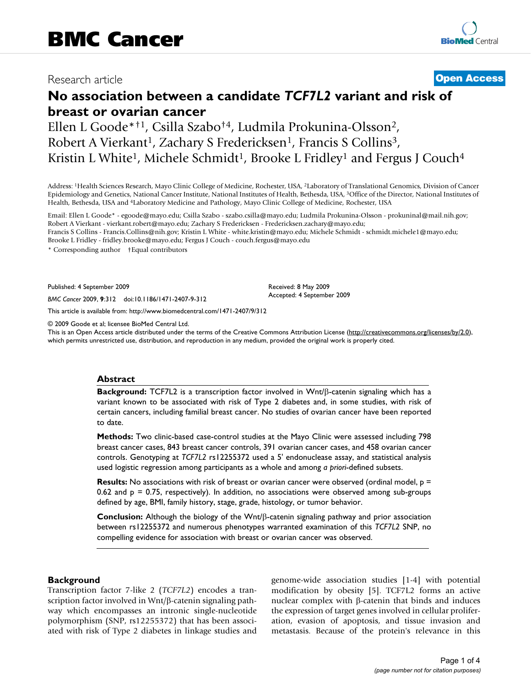## Research article **[Open Access](http://www.biomedcentral.com/info/about/charter/)**

# **No association between a candidate** *TCF7L2* **variant and risk of breast or ovarian cancer**

Ellen L Goode\*†1, Csilla Szabo†4, Ludmila Prokunina-Olsson2, Robert A Vierkant<sup>1</sup>, Zachary S Fredericksen<sup>1</sup>, Francis S Collins<sup>3</sup>, Kristin L White<sup>1</sup>, Michele Schmidt<sup>1</sup>, Brooke L Fridley<sup>1</sup> and Fergus J Couch<sup>4</sup>

Address: 1Health Sciences Research, Mayo Clinic College of Medicine, Rochester, USA, 2Laboratory of Translational Genomics, Division of Cancer Epidemiology and Genetics, National Cancer Institute, National Institutes of Health, Bethesda, USA, 3Office of the Director, National Institutes of Health, Bethesda, USA and 4Laboratory Medicine and Pathology, Mayo Clinic College of Medicine, Rochester, USA

Email: Ellen L Goode\* - egoode@mayo.edu; Csilla Szabo - szabo.csilla@mayo.edu; Ludmila Prokunina-Olsson - prokuninal@mail.nih.gov; Robert A Vierkant - vierkant.robert@mayo.edu; Zachary S Fredericksen - Fredericksen.zachary@mayo.edu; Francis S Collins - Francis.Collins@nih.gov; Kristin L White - white.kristin@mayo.edu; Michele Schmidt - schmidt.michele1@mayo.edu; Brooke L Fridley - fridley.brooke@mayo.edu; Fergus J Couch - couch.fergus@mayo.edu

\* Corresponding author †Equal contributors

Published: 4 September 2009

*BMC Cancer* 2009, **9**:312 doi:10.1186/1471-2407-9-312

[This article is available from: http://www.biomedcentral.com/1471-2407/9/312](http://www.biomedcentral.com/1471-2407/9/312)

© 2009 Goode et al; licensee BioMed Central Ltd.

This is an Open Access article distributed under the terms of the Creative Commons Attribution License [\(http://creativecommons.org/licenses/by/2.0\)](http://creativecommons.org/licenses/by/2.0), which permits unrestricted use, distribution, and reproduction in any medium, provided the original work is properly cited.

Received: 8 May 2009 Accepted: 4 September 2009

#### **Abstract**

**Background:** TCF7L2 is a transcription factor involved in Wnt/β-catenin signaling which has a variant known to be associated with risk of Type 2 diabetes and, in some studies, with risk of certain cancers, including familial breast cancer. No studies of ovarian cancer have been reported to date.

**Methods:** Two clinic-based case-control studies at the Mayo Clinic were assessed including 798 breast cancer cases, 843 breast cancer controls, 391 ovarian cancer cases, and 458 ovarian cancer controls. Genotyping at *TCF7L2* rs12255372 used a 5' endonuclease assay, and statistical analysis used logistic regression among participants as a whole and among *a priori*-defined subsets.

**Results:** No associations with risk of breast or ovarian cancer were observed (ordinal model, p = 0.62 and  $p = 0.75$ , respectively). In addition, no associations were observed among sub-groups defined by age, BMI, family history, stage, grade, histology, or tumor behavior.

**Conclusion:** Although the biology of the Wnt/β-catenin signaling pathway and prior association between rs12255372 and numerous phenotypes warranted examination of this *TCF7L2* SNP, no compelling evidence for association with breast or ovarian cancer was observed.

#### **Background**

Transcription factor 7-like 2 (*TCF7L2*) encodes a transcription factor involved in Wnt/β-catenin signaling pathway which encompasses an intronic single-nucleotide polymorphism (SNP, rs12255372) that has been associated with risk of Type 2 diabetes in linkage studies and genome-wide association studies [1-4] with potential modification by obesity [5]. TCF7L2 forms an active nuclear complex with β-catenin that binds and induces the expression of target genes involved in cellular proliferation, evasion of apoptosis, and tissue invasion and metastasis. Because of the protein's relevance in this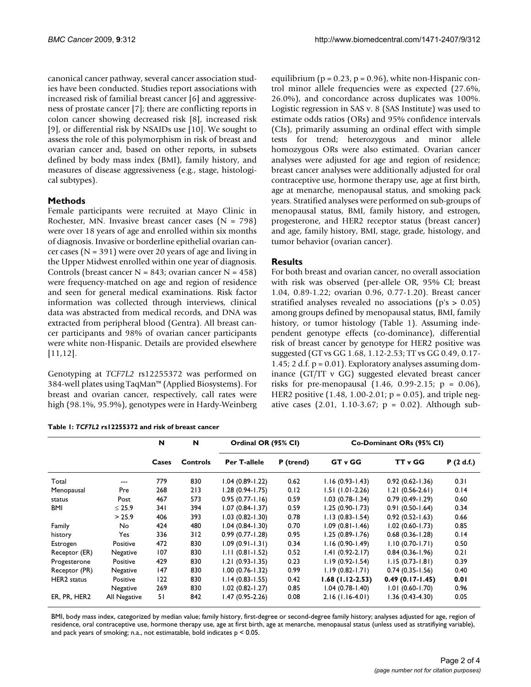canonical cancer pathway, several cancer association studies have been conducted. Studies report associations with increased risk of familial breast cancer [6] and aggressiveness of prostate cancer [7]; there are conflicting reports in colon cancer showing decreased risk [8], increased risk [9], or differential risk by NSAIDs use [10]. We sought to assess the role of this polymorphism in risk of breast and ovarian cancer and, based on other reports, in subsets defined by body mass index (BMI), family history, and measures of disease aggressiveness (e.g., stage, histological subtypes).

### **Methods**

Female participants were recruited at Mayo Clinic in Rochester, MN. Invasive breast cancer cases  $(N = 798)$ were over 18 years of age and enrolled within six months of diagnosis. Invasive or borderline epithelial ovarian cancer cases ( $N = 391$ ) were over 20 years of age and living in the Upper Midwest enrolled within one year of diagnosis. Controls (breast cancer  $N = 843$ ; ovarian cancer  $N = 458$ ) were frequency-matched on age and region of residence and seen for general medical examinations. Risk factor information was collected through interviews, clinical data was abstracted from medical records, and DNA was extracted from peripheral blood (Gentra). All breast cancer participants and 98% of ovarian cancer participants were white non-Hispanic. Details are provided elsewhere [11,12].

Genotyping at *TCF7L2* rs12255372 was performed on 384-well plates using TaqMan™ (Applied Biosystems). For breast and ovarian cancer, respectively, call rates were high (98.1%, 95.9%), genotypes were in Hardy-Weinberg

| Table 1: TCF7L2 rs12255372 and risk of breast cancer |  |
|------------------------------------------------------|--|
|------------------------------------------------------|--|

equilibrium ( $p = 0.23$ ,  $p = 0.96$ ), white non-Hispanic control minor allele frequencies were as expected (27.6%, 26.0%), and concordance across duplicates was 100%. Logistic regression in SAS v. 8 (SAS Institute) was used to estimate odds ratios (ORs) and 95% confidence intervals (CIs), primarily assuming an ordinal effect with simple tests for trend; heterozygous and minor allele homozygous ORs were also estimated. Ovarian cancer analyses were adjusted for age and region of residence; breast cancer analyses were additionally adjusted for oral contraceptive use, hormone therapy use, age at first birth, age at menarche, menopausal status, and smoking pack years. Stratified analyses were performed on sub-groups of menopausal status, BMI, family history, and estrogen, progesterone, and HER2 receptor status (breast cancer) and age, family history, BMI, stage, grade, histology, and tumor behavior (ovarian cancer).

### **Results**

For both breast and ovarian cancer, no overall association with risk was observed (per-allele OR, 95% CI; breast 1.04, 0.89-1.22; ovarian 0.96, 0.77-1.20). Breast cancer stratified analyses revealed no associations (p's > 0.05) among groups defined by menopausal status, BMI, family history, or tumor histology (Table 1). Assuming independent genotype effects (co-dominance), differential risk of breast cancer by genotype for HER2 positive was suggested (GT vs GG 1.68, 1.12-2.53; TT vs GG 0.49, 0.17- 1.45; 2 d.f.  $p = 0.01$ ). Exploratory analyses assuming dominance (GT/TT v GG) suggested elevated breast cancer risks for pre-menopausal  $(1.46, 0.99-2.15; p = 0.06)$ , HER2 positive  $(1.48, 1.00-2.01; p = 0.05)$ , and triple negative cases  $(2.01, 1.10-3.67; p = 0.02)$ . Although sub-

|                    |              | N<br>Cases | N<br>Controls | Ordinal OR (95% CI) |           | Co-Dominant ORs (95% CI) |                     |           |  |
|--------------------|--------------|------------|---------------|---------------------|-----------|--------------------------|---------------------|-----------|--|
|                    |              |            |               | Per T-allele        | P (trend) | <b>GT v GG</b>           | <b>TT</b> v GG      | P(2 d.f.) |  |
| Total              | ---          | 779        | 830           | $1.04(0.89-1.22)$   | 0.62      | $1.16(0.93-1.43)$        | $0.92(0.62 - 1.36)$ | 0.31      |  |
| Menopausal         | Pre          | 268        | 213           | $1.28(0.94-1.75)$   | 0.12      | $1.51(1.01-2.26)$        | $1.21(0.56-2.61)$   | 0.14      |  |
| status             | Post         | 467        | 573           | $0.95(0.77 - 1.16)$ | 0.59      | $1.03(0.78-1.34)$        | $0.79(0.49 - 1.29)$ | 0.60      |  |
| <b>BMI</b>         | $\leq 25.9$  | 34 I       | 394           | $1.07(0.84-1.37)$   | 0.59      | $1.25(0.90-1.73)$        | $0.91(0.50 - 1.64)$ | 0.34      |  |
|                    | > 25.9       | 406        | 393           | $1.03(0.82 - 1.30)$ | 0.78      | $1.13(0.83 - 1.54)$      | $0.92(0.52 - 1.63)$ | 0.66      |  |
| Family             | No.          | 424        | 480           | $1.04(0.84-1.30)$   | 0.70      | $1.09(0.81 - 1.46)$      | $1.02(0.60 - 1.73)$ | 0.85      |  |
| history            | Yes          | 336        | 312           | $0.99(0.77 - 1.28)$ | 0.95      | $1.25(0.89 - 1.76)$      | $0.68(0.36 - 1.28)$ | 0.14      |  |
| Estrogen           | Positive     | 472        | 830           | $1.09(0.91 - 1.31)$ | 0.34      | $1.16(0.90-1.49)$        | $1.10(0.70-1.71)$   | 0.50      |  |
| Receptor (ER)      | Negative     | 107        | 830           | $1.11(0.81 - 1.52)$ | 0.52      | $1.41(0.92 - 2.17)$      | $0.84(0.36 - 1.96)$ | 0.21      |  |
| Progesterone       | Positive     | 429        | 830           | $1.21(0.93 - 1.35)$ | 0.23      | $1.19(0.92 - 1.54)$      | $1.15(0.73 - 1.81)$ | 0.39      |  |
| Receptor (PR)      | Negative     | 147        | 830           | $1.00(0.76 - 1.32)$ | 0.99      | $1.19(0.82 - 1.71)$      | $0.74(0.35 - 1.56)$ | 0.40      |  |
| <b>HER2</b> status | Positive     | 122        | 830           | $1.14(0.83 - 1.55)$ | 0.42      | $1.68(1.12-2.53)$        | $0.49(0.17-1.45)$   | 0.01      |  |
|                    | Negative     | 269        | 830           | $1.02$ (0.82-1.27)  | 0.85      | $1.04(0.78-1.40)$        | $1.01(0.60-1.70)$   | 0.96      |  |
| ER, PR, HER2       | All Negative | 51         | 842           | $1.47(0.95-2.26)$   | 0.08      | $2.16(1.16-4.01)$        | $1.36(0.43-4.30)$   | 0.05      |  |

BMI, body mass index, categorized by median value; family history, first-degree or second-degree family history; analyses adjusted for age, region of residence, oral contraceptive use, hormone therapy use, age at first birth, age at menarche, menopausal status (unless used as stratifiying variable), and pack years of smoking; n.a., not estimatable, bold indicates  $p < 0.05$ .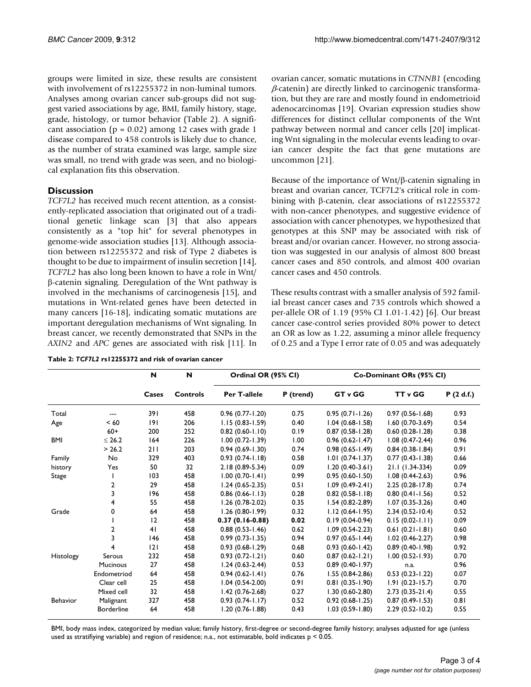groups were limited in size, these results are consistent with involvement of rs12255372 in non-luminal tumors. Analyses among ovarian cancer sub-groups did not suggest varied associations by age, BMI, family history, stage, grade, histology, or tumor behavior (Table 2). A significant association ( $p = 0.02$ ) among 12 cases with grade 1 disease compared to 458 controls is likely due to chance, as the number of strata examined was large, sample size was small, no trend with grade was seen, and no biological explanation fits this observation.

#### **Discussion**

*TCF7L2* has received much recent attention, as a consistently-replicated association that originated out of a traditional genetic linkage scan [3] that also appears consistently as a "top hit" for several phenotypes in genome-wide association studies [13]. Although association between rs12255372 and risk of Type 2 diabetes is thought to be due to impairment of insulin secretion [14], *TCF7L2* has also long been known to have a role in Wnt/ β-catenin signaling. Deregulation of the Wnt pathway is involved in the mechanisms of carcinogenesis [15], and mutations in Wnt-related genes have been detected in many cancers [16-18], indicating somatic mutations are important deregulation mechanisms of Wnt signaling. In breast cancer, we recently demonstrated that SNPs in the *AXIN2* and *APC* genes are associated with risk [11]. In

|  |  | Table 2: TCF7L2 rs12255372 and risk of ovarian cancer |  |  |  |
|--|--|-------------------------------------------------------|--|--|--|
|  |  |                                                       |  |  |  |

ovarian cancer, somatic mutations in *CTNNB1* (encoding  $\beta$ -catenin) are directly linked to carcinogenic transformation, but they are rare and mostly found in endometrioid adenocarcinomas [19]. Ovarian expression studies show differences for distinct cellular components of the Wnt pathway between normal and cancer cells [20] implicating Wnt signaling in the molecular events leading to ovarian cancer despite the fact that gene mutations are uncommon [21].

Because of the importance of Wnt/β-catenin signaling in breast and ovarian cancer, TCF7L2's critical role in combining with β-catenin, clear associations of rs12255372 with non-cancer phenotypes, and suggestive evidence of association with cancer phenotypes, we hypothesized that genotypes at this SNP may be associated with risk of breast and/or ovarian cancer. However, no strong association was suggested in our analysis of almost 800 breast cancer cases and 850 controls, and almost 400 ovarian cancer cases and 450 controls.

These results contrast with a smaller analysis of 592 familial breast cancer cases and 735 controls which showed a per-allele OR of 1.19 (95% CI 1.01-1.42) [6]. Our breast cancer case-control series provided 80% power to detect an OR as low as 1.22, assuming a minor allele frequency of 0.25 and a Type I error rate of 0.05 and was adequately

|            |                   | N<br>Cases | N<br><b>Controls</b> | Ordinal OR (95% CI) |           | Co-Dominant ORs (95% CI) |                     |           |  |
|------------|-------------------|------------|----------------------|---------------------|-----------|--------------------------|---------------------|-----------|--|
|            |                   |            |                      | Per T-allele        | P (trend) | GT v GG                  | TT v GG             | P(2 d.f.) |  |
| Total      |                   | 391        | 458                  | $0.96(0.77 - 1.20)$ | 0.75      | $0.95(0.71 - 1.26)$      | $0.97(0.56 - 1.68)$ | 0.93      |  |
| Age        | < 60              | 9          | 206                  | $1.15(0.83 - 1.59)$ | 0.40      | $1.04(0.68-1.58)$        | $1.60(0.70-3.69)$   | 0.54      |  |
|            | $60+$             | 200        | 252                  | $0.82(0.60 - 1.10)$ | 0.19      | $0.87(0.58-1.28)$        | $0.60(0.28 - 1.28)$ | 0.38      |  |
| <b>BMI</b> | $\leq 26.2$       | 164        | 226                  | $1.00(0.72 - 1.39)$ | 1.00      | $0.96$ $(0.62 - 1.47)$   | $1.08(0.47-2.44)$   | 0.96      |  |
|            | > 26.2            | 211        | 203                  | $0.94(0.69 - 1.30)$ | 0.74      | $0.98(0.65 - 1.49)$      | $0.84(0.38 - 1.84)$ | 0.91      |  |
| Family     | No                | 329        | 403                  | $0.93(0.74-1.18)$   | 0.58      | $1.01(0.74-1.37)$        | $0.77(0.43 - 1.38)$ | 0.66      |  |
| history    | Yes               | 50         | 32                   | $2.18(0.89 - 5.34)$ | 0.09      | $1.20(0.40-3.61)$        | $21.1(1.34-334)$    | 0.09      |  |
| Stage      |                   | 103        | 458                  | $1.00(0.70-1.41)$   | 0.99      | $0.95(0.60 - 1.50)$      | $1.08(0.44-2.63)$   | 0.96      |  |
|            | 2                 | 29         | 458                  | $1.24(0.65-2.35)$   | 0.51      | $1.09(0.49-2.41)$        | $2.25(0.28-17.8)$   | 0.74      |  |
|            | 3                 | 196        | 458                  | $0.86$ (0.66-1.13)  | 0.28      | $0.82$ (0.58-1.18)       | $0.80(0.41-1.56)$   | 0.52      |  |
|            | 4                 | 55         | 458                  | $1.26(0.78-2.02)$   | 0.35      | $1.54(0.82 - 2.89)$      | $1.07(0.35-3.26)$   | 0.40      |  |
| Grade      | 0                 | 64         | 458                  | $1.26$ (0.80-1.99)  | 0.32      | $1.12(0.64-1.95)$        | $2.34(0.52 - 10.4)$ | 0.52      |  |
|            |                   | 12         | 458                  | $0.37(0.16-0.88)$   | 0.02      | $0.19(0.04-0.94)$        | $0.15(0.02-1.11)$   | 0.09      |  |
|            | 2                 | 41         | 458                  | $0.88(0.53 - 1.46)$ | 0.62      | $1.09(0.54-2.23)$        | $0.61(0.21 - 1.81)$ | 0.60      |  |
|            | 3                 | 146        | 458                  | $0.99(0.73 - 1.35)$ | 0.94      | $0.97(0.65 - 1.44)$      | $1.02(0.46 - 2.27)$ | 0.98      |  |
|            | 4                 | 2          | 458                  | $0.93(0.68-1.29)$   | 0.68      | $0.93$ (0.60-1.42)       | $0.89$ (0.40-1.98)  | 0.92      |  |
| Histology  | Serous            | 232        | 458                  | $0.93(0.72 - 1.21)$ | 0.60      | $0.87(0.62 - 1.21)$      | $1.00(0.52 - 1.93)$ | 0.70      |  |
|            | <b>Mucinous</b>   | 27         | 458                  | $1.24(0.63-2.44)$   | 0.53      | $0.89(0.40-1.97)$        | n.a.                | 0.96      |  |
|            | Endometriod       | 64         | 458                  | $0.94(0.62 - 1.41)$ | 0.76      | $1.55(0.84-2.86)$        | $0.53(0.23 - 1.22)$ | 0.07      |  |
|            | Clear cell        | 25         | 458                  | $1.04(0.54-2.00)$   | 0.91      | $0.81(0.35 - 1.90)$      | $1.91(0.23 - 15.7)$ | 0.70      |  |
|            | Mixed cell        | 32         | 458                  | $1.42(0.76-2.68)$   | 0.27      | $1.30(0.60-2.80)$        | $2.73(0.35-21.4)$   | 0.55      |  |
| Behavior   | Malignant         | 327        | 458                  | $0.93(0.74-1.17)$   | 0.52      | $0.92(0.68 - 1.25)$      | $0.87(0.49 - 1.53)$ | 0.81      |  |
|            | <b>Borderline</b> | 64         | 458                  | $1.20(0.76 - 1.88)$ | 0.43      | $1.03(0.59 - 1.80)$      | $2.29(0.52 - 10.2)$ | 0.55      |  |

BMI, body mass index, categorized by median value; family history, first-degree or second-degree family history; analyses adjusted for age (unless used as stratifiying variable) and region of residence; n.a., not estimatable, bold indicates p < 0.05.